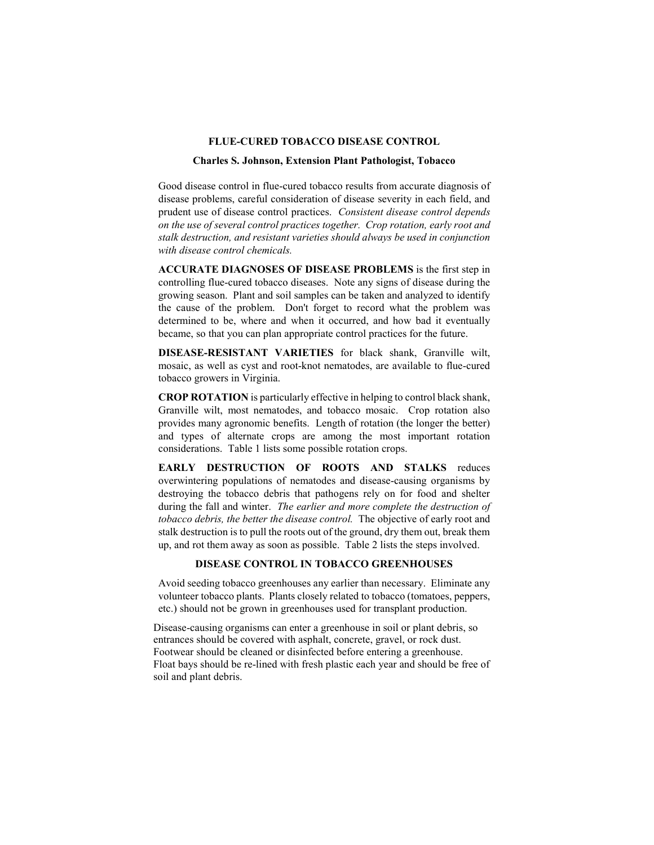## **FLUE-CURED TOBACCO DISEASE CONTROL**

## **Charles S. Johnson, Extension Plant Pathologist, Tobacco**

Good disease control in flue-cured tobacco results from accurate diagnosis of disease problems, careful consideration of disease severity in each field, and prudent use of disease control practices. *Consistent disease control depends on the use of several control practices together. Crop rotation, early root and stalk destruction, and resistant varieties should always be used in conjunction with disease control chemicals.*

**ACCURATE DIAGNOSES OF DISEASE PROBLEMS** is the first step in controlling flue-cured tobacco diseases. Note any signs of disease during the growing season. Plant and soil samples can be taken and analyzed to identify the cause of the problem. Don't forget to record what the problem was determined to be, where and when it occurred, and how bad it eventually became, so that you can plan appropriate control practices for the future.

**DISEASE-RESISTANT VARIETIES** for black shank, Granville wilt, mosaic, as well as cyst and root-knot nematodes, are available to flue-cured tobacco growers in Virginia.

**CROP ROTATION** is particularly effective in helping to control black shank, Granville wilt, most nematodes, and tobacco mosaic. Crop rotation also provides many agronomic benefits. Length of rotation (the longer the better) and types of alternate crops are among the most important rotation considerations. Table 1 lists some possible rotation crops.

**EARLY DESTRUCTION OF ROOTS AND STALKS** reduces overwintering populations of nematodes and disease-causing organisms by destroying the tobacco debris that pathogens rely on for food and shelter during the fall and winter. *The earlier and more complete the destruction of tobacco debris, the better the disease control.* The objective of early root and stalk destruction is to pull the roots out of the ground, dry them out, break them up, and rot them away as soon as possible. Table 2 lists the steps involved.

# **DISEASE CONTROL IN TOBACCO GREENHOUSES**

Avoid seeding tobacco greenhouses any earlier than necessary. Eliminate any volunteer tobacco plants. Plants closely related to tobacco (tomatoes, peppers, etc.) should not be grown in greenhouses used for transplant production.

Disease-causing organisms can enter a greenhouse in soil or plant debris, so entrances should be covered with asphalt, concrete, gravel, or rock dust. Footwear should be cleaned or disinfected before entering a greenhouse. Float bays should be re-lined with fresh plastic each year and should be free of soil and plant debris.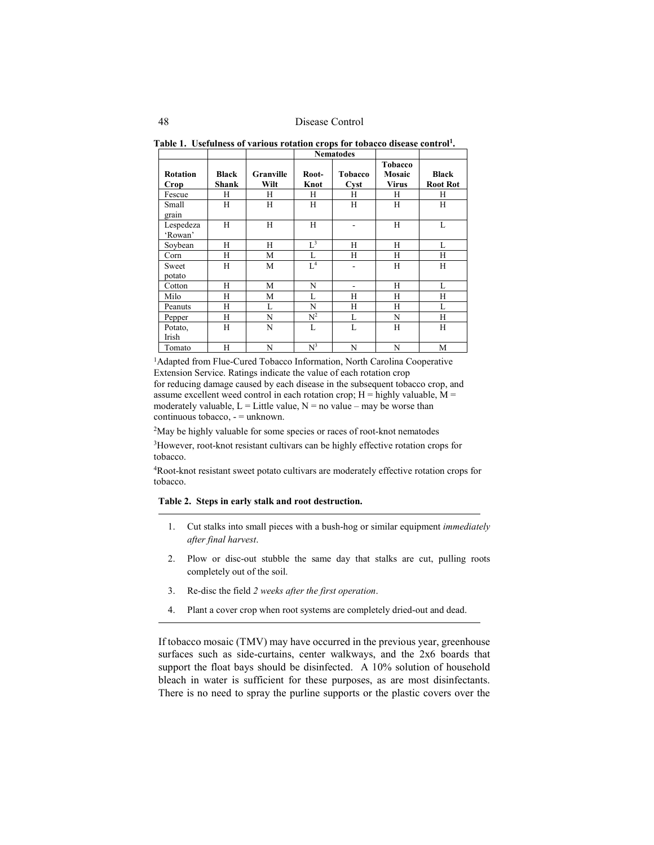|  |  |  |  |  | Table 1. Usefulness of various rotation crops for tobacco disease control <sup>1</sup> . |
|--|--|--|--|--|------------------------------------------------------------------------------------------|
|--|--|--|--|--|------------------------------------------------------------------------------------------|

|                         |                              |                   |                | <b>Nematodes</b> |                            |                                 |
|-------------------------|------------------------------|-------------------|----------------|------------------|----------------------------|---------------------------------|
| <b>Rotation</b><br>Crop | <b>Black</b><br><b>Shank</b> | Granville<br>Wilt | Root-<br>Knot  | Tobacco<br>Cyst  | Tobacco<br>Mosaic<br>Virus | <b>Black</b><br><b>Root Rot</b> |
| Fescue                  | H                            | Н                 | H              | H                | H                          | H                               |
| Small<br>grain          | H                            | H                 | H              | H                | H                          | H                               |
| Lespedeza<br>'Rowan'    | H                            | Н                 | H              |                  | H                          | L                               |
| Soybean                 | H                            | H                 | $L^3$          | H                | Н                          | L                               |
| Corn                    | H                            | M                 | L              | Н                | H                          | H                               |
| Sweet<br>potato         | H                            | M                 | L <sup>4</sup> | ۰                | H                          | H                               |
| Cotton                  | H                            | M                 | N              |                  | H                          | L                               |
| Milo                    | H                            | М                 | L              | Н                | Н                          | Н                               |
| Peanuts                 | H                            | L                 | N              | Н                | Н                          | L                               |
| Pepper                  | H                            | N                 | $\mathbb{N}^2$ | L                | N                          | H                               |
| Potato,<br>Irish        | H                            | N                 | L              | L                | Н                          | H                               |
| Tomato                  | H                            | N                 | $N^3$          | N                | N                          | M                               |

<sup>1</sup>Adapted from Flue-Cured Tobacco Information, North Carolina Cooperative Extension Service. Ratings indicate the value of each rotation crop for reducing damage caused by each disease in the subsequent tobacco crop, and assume excellent weed control in each rotation crop;  $H =$  highly valuable,  $M =$ moderately valuable,  $L =$  Little value,  $N =$  no value – may be worse than continuous tobacco, - = unknown.

<sup>2</sup>May be highly valuable for some species or races of root-knot nematodes

3However, root-knot resistant cultivars can be highly effective rotation crops for tobacco.

4Root-knot resistant sweet potato cultivars are moderately effective rotation crops for tobacco.

## **Table 2. Steps in early stalk and root destruction.**

- 1. Cut stalks into small pieces with a bush-hog or similar equipment *immediately after final harvest*.
- 2. Plow or disc-out stubble the same day that stalks are cut, pulling roots completely out of the soil.
- 3. Re-disc the field *2 weeks after the first operation*.
- 4. Plant a cover crop when root systems are completely dried-out and dead.

If tobacco mosaic (TMV) may have occurred in the previous year, greenhouse surfaces such as side-curtains, center walkways, and the 2x6 boards that support the float bays should be disinfected. A 10% solution of household bleach in water is sufficient for these purposes, as are most disinfectants. There is no need to spray the purline supports or the plastic covers over the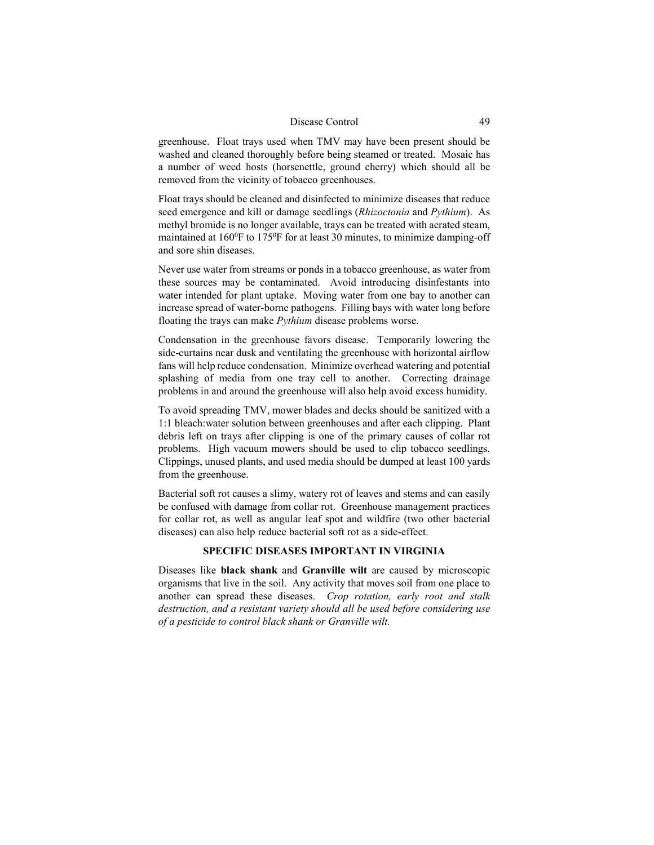greenhouse. Float trays used when TMV may have been present should be washed and cleaned thoroughly before being steamed or treated. Mosaic has a number of weed hosts (horsenettle, ground cherry) which should all be removed from the vicinity of tobacco greenhouses.

Float trays should be cleaned and disinfected to minimize diseases that reduce seed emergence and kill or damage seedlings (*Rhizoctonia* and *Pythium*). As methyl bromide is no longer available, trays can be treated with aerated steam, maintained at  $160^{\circ}$ F to  $175^{\circ}$ F for at least 30 minutes, to minimize damping-off and sore shin diseases.

Never use water from streams or ponds in a tobacco greenhouse, as water from these sources may be contaminated. Avoid introducing disinfestants into water intended for plant uptake. Moving water from one bay to another can increase spread of water-borne pathogens. Filling bays with water long before floating the trays can make *Pythium* disease problems worse.

Condensation in the greenhouse favors disease. Temporarily lowering the side-curtains near dusk and ventilating the greenhouse with horizontal airflow fans will help reduce condensation. Minimize overhead watering and potential splashing of media from one tray cell to another. Correcting drainage problems in and around the greenhouse will also help avoid excess humidity.

To avoid spreading TMV, mower blades and decks should be sanitized with a 1:1 bleach:water solution between greenhouses and after each clipping. Plant debris left on trays after clipping is one of the primary causes of collar rot problems. High vacuum mowers should be used to clip tobacco seedlings. Clippings, unused plants, and used media should be dumped at least 100 yards from the greenhouse.

Bacterial soft rot causes a slimy, watery rot of leaves and stems and can easily be confused with damage from collar rot. Greenhouse management practices for collar rot, as well as angular leaf spot and wildfire (two other bacterial diseases) can also help reduce bacterial soft rot as a side-effect.

# **SPECIFIC DISEASES IMPORTANT IN VIRGINIA**

Diseases like **black shank** and **Granville wilt** are caused by microscopic organisms that live in the soil. Any activity that moves soil from one place to another can spread these diseases. *Crop rotation, early root and stalk destruction, and a resistant variety should all be used before considering use of a pesticide to control black shank or Granville wilt.*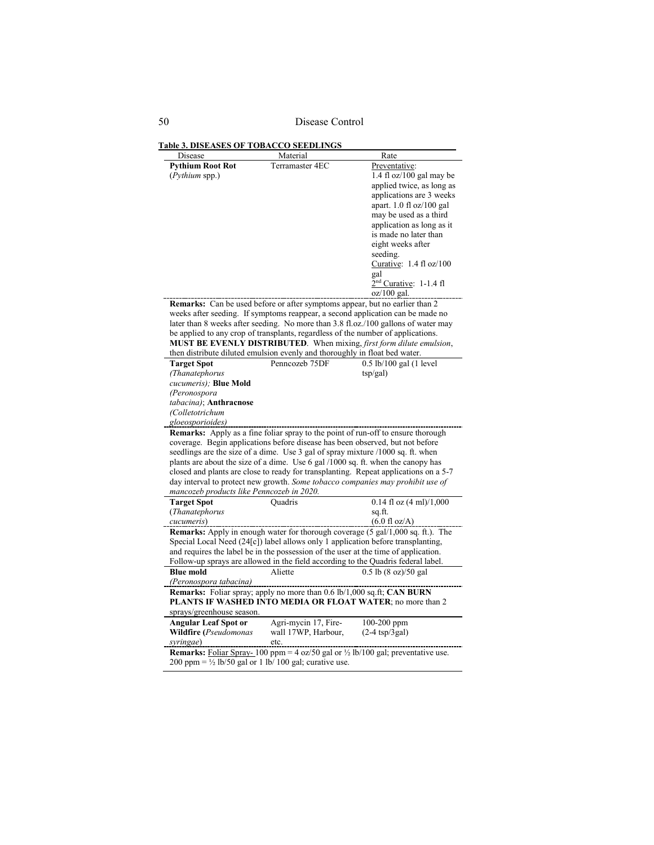50 Disease Control

**Table 3. DISEASES OF TOBACCO SEEDLINGS**

| Disease                                   | Material                                                                           | Rate                                                                                              |
|-------------------------------------------|------------------------------------------------------------------------------------|---------------------------------------------------------------------------------------------------|
| <b>Pythium Root Rot</b>                   | Terramaster 4EC                                                                    | Preventative:                                                                                     |
| (Pythium spp.)                            |                                                                                    | $1.4$ fl oz/ $100$ gal may be                                                                     |
|                                           |                                                                                    | applied twice, as long as                                                                         |
|                                           |                                                                                    | applications are 3 weeks                                                                          |
|                                           |                                                                                    | apart. 1.0 fl oz/100 gal                                                                          |
|                                           |                                                                                    | may be used as a third                                                                            |
|                                           |                                                                                    | application as long as it                                                                         |
|                                           |                                                                                    | is made no later than                                                                             |
|                                           |                                                                                    | eight weeks after                                                                                 |
|                                           |                                                                                    | seeding.                                                                                          |
|                                           |                                                                                    | Curative: $1.4 \text{ fl oz}/100$                                                                 |
|                                           |                                                                                    | gal                                                                                               |
|                                           |                                                                                    | $2nd$ Curative: 1-1.4 fl                                                                          |
|                                           |                                                                                    | $oz/100$ gal.                                                                                     |
|                                           | <b>Remarks:</b> Can be used before or after symptoms appear, but no earlier than 2 |                                                                                                   |
|                                           |                                                                                    | weeks after seeding. If symptoms reappear, a second application can be made no                    |
|                                           |                                                                                    | later than 8 weeks after seeding. No more than 3.8 fl.oz./100 gallons of water may                |
|                                           | be applied to any crop of transplants, regardless of the number of applications.   |                                                                                                   |
|                                           |                                                                                    | MUST BE EVENLY DISTRIBUTED. When mixing, first form dilute emulsion,                              |
|                                           | then distribute diluted emulsion evenly and thoroughly in float bed water.         |                                                                                                   |
| <b>Target Spot</b>                        | Penncozeb 75DF                                                                     | 0.5 lb/100 gal (1 level                                                                           |
| (Thanatephorus                            |                                                                                    | $\frac{\text{tsp}}{\text{gal}}$                                                                   |
| cucumeris); Blue Mold                     |                                                                                    |                                                                                                   |
| (Peronospora                              |                                                                                    |                                                                                                   |
| tabacina); Anthracnose                    |                                                                                    |                                                                                                   |
| (Colletotrichum                           |                                                                                    |                                                                                                   |
| gloeosporioides)                          |                                                                                    |                                                                                                   |
|                                           |                                                                                    | Remarks: Apply as a fine foliar spray to the point of run-off to ensure thorough                  |
|                                           | coverage. Begin applications before disease has been observed, but not before      |                                                                                                   |
|                                           | seedlings are the size of a dime. Use 3 gal of spray mixture /1000 sq. ft. when    |                                                                                                   |
|                                           |                                                                                    | plants are about the size of a dime. Use 6 gal /1000 sq. ft. when the canopy has                  |
|                                           |                                                                                    | closed and plants are close to ready for transplanting. Repeat applications on a 5-7              |
|                                           |                                                                                    | day interval to protect new growth. Some tobacco companies may prohibit use of                    |
| mancozeb products like Penncozeb in 2020. |                                                                                    |                                                                                                   |
| <b>Target Spot</b>                        | <b>Quadris</b>                                                                     | $0.14$ fl oz $(4 \text{ ml})/1,000$                                                               |
| (Thanatephorus                            |                                                                                    | sq.ft.                                                                                            |
| cucumeris)                                |                                                                                    | $(6.0 \text{ fl oz/A})$                                                                           |
|                                           |                                                                                    | Remarks: Apply in enough water for thorough coverage (5 gal/1,000 sq. ft.). The                   |
|                                           |                                                                                    | Special Local Need (24[c]) label allows only 1 application before transplanting,                  |
|                                           |                                                                                    | and requires the label be in the possession of the user at the time of application.               |
|                                           |                                                                                    | Follow-up sprays are allowed in the field according to the Quadris federal label.                 |
| <b>Blue mold</b>                          | Aliette                                                                            | 0.5 lb (8 oz)/50 gal                                                                              |
| (Peronospora tabacina)                    |                                                                                    |                                                                                                   |
|                                           | Remarks: Foliar spray; apply no more than 0.6 lb/1,000 sq.ft; CAN BURN             |                                                                                                   |
|                                           |                                                                                    | PLANTS IF WASHED INTO MEDIA OR FLOAT WATER; no more than 2                                        |
| sprays/greenhouse season.                 |                                                                                    |                                                                                                   |
| <b>Angular Leaf Spot or</b>               | Agri-mycin 17, Fire-                                                               | 100-200 ppm                                                                                       |
| Wildfire (Pseudomonas                     | wall 17WP, Harbour,                                                                | $(2-4 \text{ tsp}/3 \text{gal})$                                                                  |
| syringae)                                 | _etc.                                                                              |                                                                                                   |
|                                           |                                                                                    | <b>Remarks:</b> Foliar Spray-100 ppm = 4 oz/50 gal or $\frac{1}{2}$ lb/100 gal; preventative use. |
|                                           | 200 ppm = $\frac{1}{2}$ lb/50 gal or 1 lb/100 gal; curative use.                   |                                                                                                   |
|                                           |                                                                                    |                                                                                                   |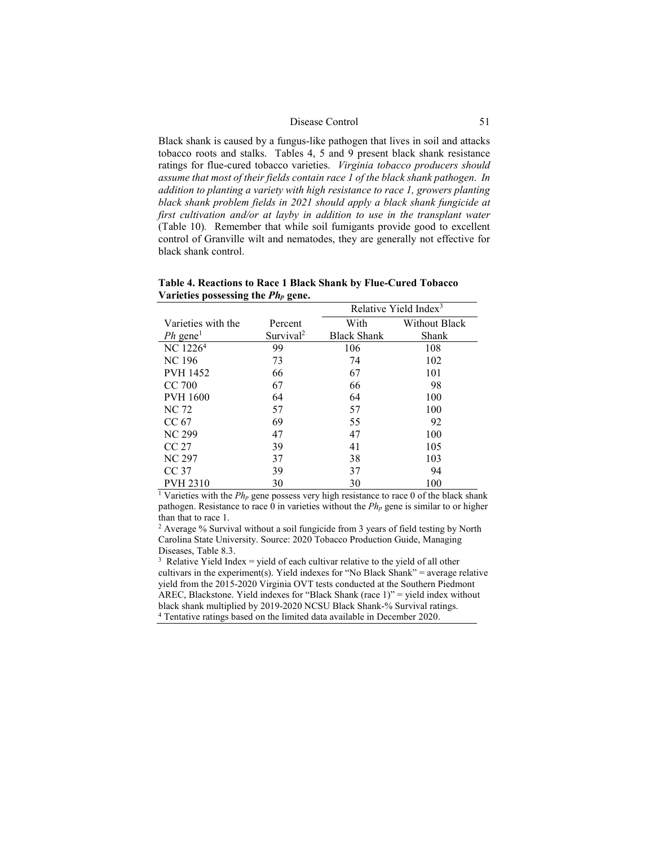Black shank is caused by a fungus-like pathogen that lives in soil and attacks tobacco roots and stalks. Tables 4, 5 and 9 present black shank resistance ratings for flue-cured tobacco varieties. *Virginia tobacco producers should assume that most of their fields contain race 1 of the black shank pathogen*. *In addition to planting a variety with high resistance to race 1, growers planting black shank problem fields in 2021 should apply a black shank fungicide at first cultivation and/or at layby in addition to use in the transplant water* (Table 10)*.* Remember that while soil fumigants provide good to excellent control of Granville wilt and nematodes, they are generally not effective for black shank control.

|                        |                       |                    | Relative Yield Index <sup>3</sup> |
|------------------------|-----------------------|--------------------|-----------------------------------|
| Varieties with the     | Percent               | With               | Without Black                     |
| $Ph$ gene <sup>1</sup> | Survival <sup>2</sup> | <b>Black Shank</b> | Shank                             |
| NC 1226 <sup>4</sup>   | 99                    | 106                | 108                               |
| NC 196                 | 73                    | 74                 | 102                               |
| <b>PVH 1452</b>        | 66                    | 67                 | 101                               |
| CC 700                 | 67                    | 66                 | 98                                |
| <b>PVH 1600</b>        | 64                    | 64                 | 100                               |
| NC 72                  | 57                    | 57                 | 100                               |
| CC <sub>67</sub>       | 69                    | 55                 | 92                                |
| <b>NC 299</b>          | 47                    | 47                 | 100                               |
| CC27                   | 39                    | 41                 | 105                               |
| <b>NC 297</b>          | 37                    | 38                 | 103                               |
| CC <sub>37</sub>       | 39                    | 37                 | 94                                |
| <b>PVH 2310</b>        | 30                    | 30                 | 100                               |

**Table 4. Reactions to Race 1 Black Shank by Flue-Cured Tobacco Varieties possessing the** *Php* **gene.**

<sup>1</sup> Varieties with the  $Ph_p$  gene possess very high resistance to race 0 of the black shank pathogen. Resistance to race 0 in varieties without the *Php* gene is similar to or higher than that to race 1.

<sup>2</sup> Average % Survival without a soil fungicide from 3 years of field testing by North Carolina State University. Source: 2020 Tobacco Production Guide, Managing Diseases, Table 8.3.

 $3$  Relative Yield Index = yield of each cultivar relative to the yield of all other cultivars in the experiment(s). Yield indexes for "No Black Shank" = average relative yield from the 2015-2020 Virginia OVT tests conducted at the Southern Piedmont AREC, Blackstone. Yield indexes for "Black Shank (race 1)" = yield index without black shank multiplied by 2019-2020 NCSU Black Shank-% Survival ratings. <sup>4</sup> Tentative ratings based on the limited data available in December 2020.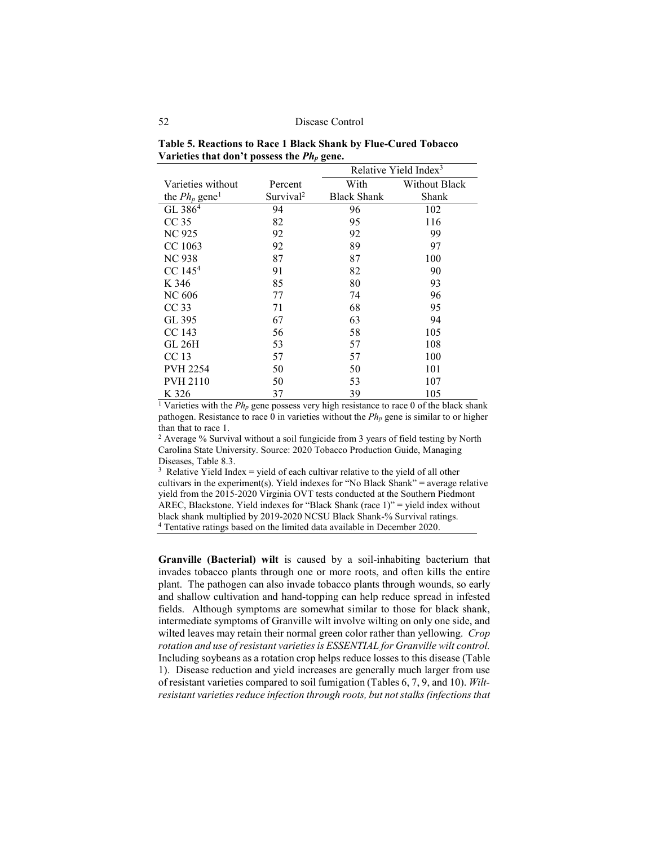| Table 5. Reactions to Race 1 Black Shank by Flue-Cured Tobacco |  |
|----------------------------------------------------------------|--|
| Varieties that don't possess the $Ph_p$ gene.                  |  |

|                              |                       |                    | Relative Yield Index $3$ |
|------------------------------|-----------------------|--------------------|--------------------------|
| Varieties without            | Percent               | With               | Without Black            |
| the $Ph_p$ gene <sup>1</sup> | Survival <sup>2</sup> | <b>Black Shank</b> | Shank                    |
| GL 386 <sup>4</sup>          | 94                    | 96                 | 102                      |
| CC <sub>35</sub>             | 82                    | 95                 | 116                      |
| NC 925                       | 92                    | 92                 | 99                       |
| CC 1063                      | 92                    | 89                 | 97                       |
| <b>NC 938</b>                | 87                    | 87                 | 100                      |
| $CC$ 145 <sup>4</sup>        | 91                    | 82                 | 90                       |
| K 346                        | 85                    | 80                 | 93                       |
| NC 606                       | 77                    | 74                 | 96                       |
| CC <sub>33</sub>             | 71                    | 68                 | 95                       |
| GL 395                       | 67                    | 63                 | 94                       |
| CC 143                       | 56                    | 58                 | 105                      |
| GL 26H                       | 53                    | 57                 | 108                      |
| CC 13                        | 57                    | 57                 | 100                      |
| <b>PVH 2254</b>              | 50                    | 50                 | 101                      |
| <b>PVH 2110</b>              | 50                    | 53                 | 107                      |
| K 326                        | 37                    | 39                 | 105                      |

<sup>1</sup> Varieties with the  $Ph_p$  gene possess very high resistance to race 0 of the black shank pathogen. Resistance to race 0 in varieties without the *Php* gene is similar to or higher than that to race 1.

<sup>2</sup> Average % Survival without a soil fungicide from 3 years of field testing by North Carolina State University. Source: 2020 Tobacco Production Guide, Managing Diseases, Table 8.3.

 $3$  Relative Yield Index = yield of each cultivar relative to the yield of all other cultivars in the experiment(s). Yield indexes for "No Black Shank" = average relative yield from the 2015-2020 Virginia OVT tests conducted at the Southern Piedmont AREC, Blackstone. Yield indexes for "Black Shank (race 1)" = yield index without black shank multiplied by 2019-2020 NCSU Black Shank-% Survival ratings. <sup>4</sup> Tentative ratings based on the limited data available in December 2020.

**Granville (Bacterial) wilt** is caused by a soil-inhabiting bacterium that invades tobacco plants through one or more roots, and often kills the entire plant. The pathogen can also invade tobacco plants through wounds, so early and shallow cultivation and hand-topping can help reduce spread in infested fields. Although symptoms are somewhat similar to those for black shank, intermediate symptoms of Granville wilt involve wilting on only one side, and wilted leaves may retain their normal green color rather than yellowing. *Crop rotation and use of resistant varieties is ESSENTIAL for Granville wilt control.* Including soybeans as a rotation crop helps reduce losses to this disease (Table 1). Disease reduction and yield increases are generally much larger from use of resistant varieties compared to soil fumigation (Tables 6, 7, 9, and 10). *Wiltresistant varieties reduce infection through roots, but not stalks (infections that*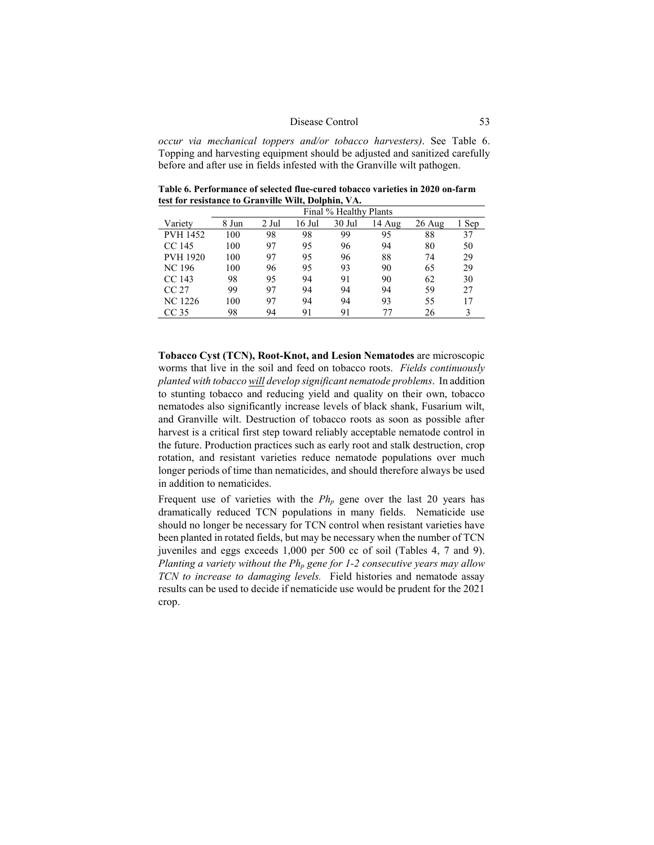*occur via mechanical toppers and/or tobacco harvesters)*. See Table 6. Topping and harvesting equipment should be adjusted and sanitized carefully before and after use in fields infested with the Granville wilt pathogen.

**Table 6. Performance of selected flue-cured tobacco varieties in 2020 on-farm test for resistance to Granville Wilt, Dolphin, VA.**

|                  | Final % Healthy Plants |       |        |          |        |        |       |
|------------------|------------------------|-------|--------|----------|--------|--------|-------|
| Variety          | 8 Jun                  | 2 Jul | 16 Jul | $30$ Jul | 14 Aug | 26 Aug | 1 Sep |
| <b>PVH 1452</b>  | 100                    | 98    | 98     | 99       | 95     | 88     | 37    |
| CC 145           | 100                    | 97    | 95     | 96       | 94     | 80     | 50    |
| <b>PVH 1920</b>  | 100                    | 97    | 95     | 96       | 88     | 74     | 29    |
| <b>NC</b> 196    | 100                    | 96    | 95     | 93       | 90     | 65     | 29    |
| CC 143           | 98                     | 95    | 94     | 91       | 90     | 62     | 30    |
| CC 27            | 99                     | 97    | 94     | 94       | 94     | 59     | 27    |
| NC 1226          | 100                    | 97    | 94     | 94       | 93     | 55     | 17    |
| CC <sub>35</sub> | 98                     | 94    | 91     | 91       | 77     | 26     |       |

**Tobacco Cyst (TCN), Root-Knot, and Lesion Nematodes** are microscopic worms that live in the soil and feed on tobacco roots. *Fields continuously planted with tobacco will develop significant nematode problems*. In addition to stunting tobacco and reducing yield and quality on their own, tobacco nematodes also significantly increase levels of black shank, Fusarium wilt, and Granville wilt. Destruction of tobacco roots as soon as possible after harvest is a critical first step toward reliably acceptable nematode control in the future. Production practices such as early root and stalk destruction, crop rotation, and resistant varieties reduce nematode populations over much longer periods of time than nematicides, and should therefore always be used in addition to nematicides.

Frequent use of varieties with the  $Ph_p$  gene over the last 20 years has dramatically reduced TCN populations in many fields. Nematicide use should no longer be necessary for TCN control when resistant varieties have been planted in rotated fields, but may be necessary when the number of TCN juveniles and eggs exceeds 1,000 per 500 cc of soil (Tables 4, 7 and 9). *Planting a variety without the Php gene for 1-2 consecutive years may allow TCN to increase to damaging levels.* Field histories and nematode assay results can be used to decide if nematicide use would be prudent for the 2021 crop.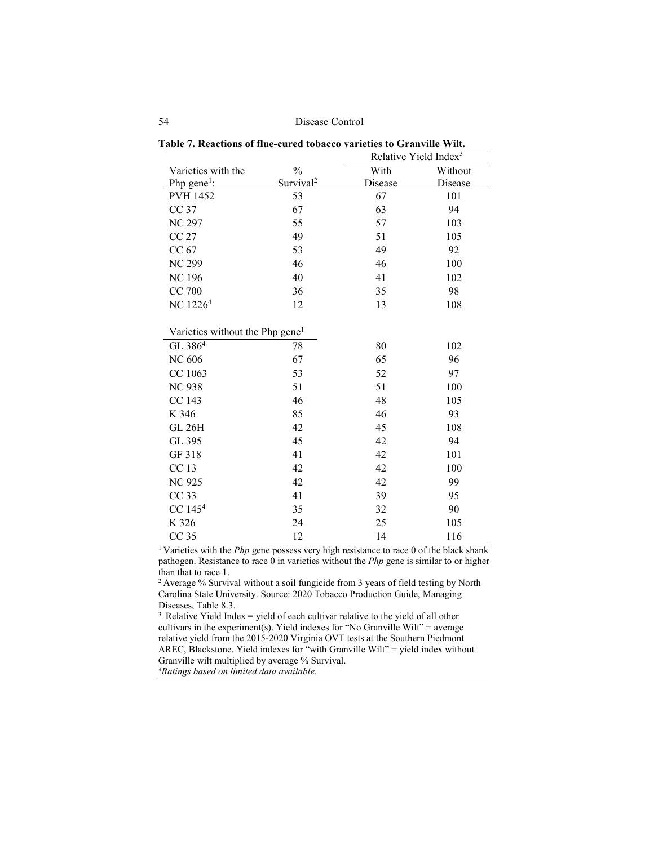| abic 7. Keacholls of the curve tobacco varieties to Grahvine Will. |                       | Relative Yield Index <sup>3</sup> |         |
|--------------------------------------------------------------------|-----------------------|-----------------------------------|---------|
| Varieties with the                                                 | $\frac{0}{0}$         | With                              | Without |
| Php $\text{gene}^1$ :                                              | Survival <sup>2</sup> | Disease                           | Disease |
| <b>PVH 1452</b>                                                    | 53                    | 67                                | 101     |
| CC 37                                                              | 67                    | 63                                | 94      |
| <b>NC 297</b>                                                      | 55                    | 57                                | 103     |
| <b>CC 27</b>                                                       | 49                    | 51                                | 105     |
| CC 67                                                              | 53                    | 49                                | 92      |
| <b>NC 299</b>                                                      | 46                    | 46                                | 100     |
| <b>NC196</b>                                                       | 40                    | 41                                | 102     |
| CC 700                                                             | 36                    | 35                                | 98      |
| NC 1226 <sup>4</sup>                                               | 12                    | 13                                | 108     |
|                                                                    |                       |                                   |         |
| Varieties without the Php gene <sup>1</sup>                        |                       |                                   |         |
| GL 386 <sup>4</sup>                                                | 78                    | 80                                | 102     |
| <b>NC 606</b>                                                      | 67                    | 65                                | 96      |
| CC 1063                                                            | 53                    | 52                                | 97      |
| <b>NC 938</b>                                                      | 51                    | 51                                | 100     |
| CC 143                                                             | 46                    | 48                                | 105     |
| K 346                                                              | 85                    | 46                                | 93      |
| <b>GL 26H</b>                                                      | 42                    | 45                                | 108     |
| GL 395                                                             | 45                    | 42                                | 94      |
| GF 318                                                             | 41                    | 42                                | 101     |
| CC 13                                                              | 42                    | 42                                | 100     |
| <b>NC 925</b>                                                      | 42                    | 42                                | 99      |
| CC <sub>33</sub>                                                   | 41                    | 39                                | 95      |
| $CC$ 145 <sup>4</sup>                                              | 35                    | 32                                | 90      |
| K 326                                                              | 24                    | 25                                | 105     |
| CC <sub>35</sub>                                                   | 12                    | 14                                | 116     |

|  |  |  | Table 7. Reactions of flue-cured tobacco varieties to Granville Wilt. |  |  |  |  |  |
|--|--|--|-----------------------------------------------------------------------|--|--|--|--|--|
|--|--|--|-----------------------------------------------------------------------|--|--|--|--|--|

<sup>1</sup> Varieties with the *Php* gene possess very high resistance to race 0 of the black shank pathogen. Resistance to race 0 in varieties without the *Php* gene is similar to or higher than that to race 1.

2 Average % Survival without a soil fungicide from 3 years of field testing by North Carolina State University. Source: 2020 Tobacco Production Guide, Managing Diseases, Table 8.3.

 $3$  Relative Yield Index = yield of each cultivar relative to the yield of all other cultivars in the experiment(s). Yield indexes for "No Granville Wilt" = average relative yield from the 2015-2020 Virginia OVT tests at the Southern Piedmont AREC, Blackstone. Yield indexes for "with Granville Wilt" = yield index without Granville wilt multiplied by average % Survival.

*4Ratings based on limited data available.*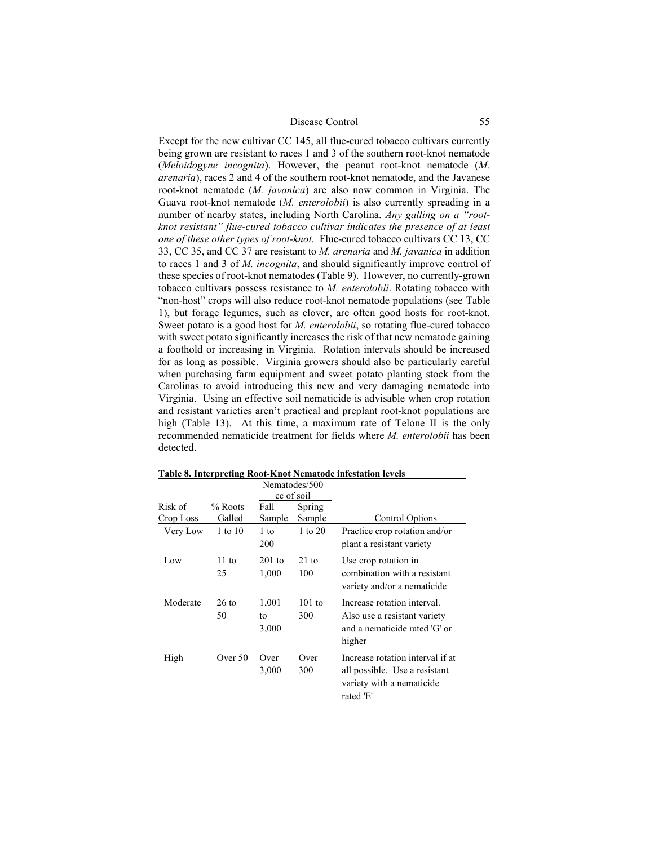Except for the new cultivar CC 145, all flue-cured tobacco cultivars currently being grown are resistant to races 1 and 3 of the southern root-knot nematode (*Meloidogyne incognita*). However, the peanut root-knot nematode (*M. arenaria*), races 2 and 4 of the southern root-knot nematode, and the Javanese root-knot nematode (*M. javanica*) are also now common in Virginia. The Guava root-knot nematode (*M. enterolobii*) is also currently spreading in a number of nearby states, including North Carolina. *Any galling on a "rootknot resistant" flue-cured tobacco cultivar indicates the presence of at least one of these other types of root-knot.* Flue-cured tobacco cultivars CC 13, CC 33, CC 35, and CC 37 are resistant to *M. arenaria* and *M. javanica* in addition to races 1 and 3 of *M. incognita*, and should significantly improve control of these species of root-knot nematodes (Table 9). However, no currently-grown tobacco cultivars possess resistance to *M. enterolobii*. Rotating tobacco with "non-host" crops will also reduce root-knot nematode populations (see Table 1), but forage legumes, such as clover, are often good hosts for root-knot. Sweet potato is a good host for *M. enterolobii*, so rotating flue-cured tobacco with sweet potato significantly increases the risk of that new nematode gaining a foothold or increasing in Virginia. Rotation intervals should be increased for as long as possible. Virginia growers should also be particularly careful when purchasing farm equipment and sweet potato planting stock from the Carolinas to avoid introducing this new and very damaging nematode into Virginia. Using an effective soil nematicide is advisable when crop rotation and resistant varieties aren't practical and preplant root-knot populations are high (Table 13). At this time, a maximum rate of Telone II is the only recommended nematicide treatment for fields where *M. enterolobii* has been detected.

| cc of soil<br>Risk of<br>$%$ Roots<br>Fall<br>Spring |                       |                      |                        |                                                                                                             |
|------------------------------------------------------|-----------------------|----------------------|------------------------|-------------------------------------------------------------------------------------------------------------|
| Crop Loss                                            | Galled                | Sample               | Sample                 | Control Options                                                                                             |
| Very Low                                             | 1 to 10               | $1$ to<br>200        | 1 to $20$              | Practice crop rotation and/or<br>plant a resistant variety                                                  |
| Low                                                  | $11 \text{ to}$<br>25 | $201$ to<br>1,000    | $21 \text{ to}$<br>100 | Use crop rotation in<br>combination with a resistant<br>variety and/or a nematicide                         |
| Moderate                                             | $26$ to<br>50         | 1,001<br>tο<br>3,000 | $101$ to<br>300        | Increase rotation interval.<br>Also use a resistant variety<br>and a nematicide rated 'G' or<br>higher      |
| High                                                 | Over 50               | Over<br>3,000        | Over<br>300            | Increase rotation interval if at<br>all possible. Use a resistant<br>variety with a nematicide<br>rated 'E' |

**Table 8. Interpreting Root-Knot Nematode infestation levels**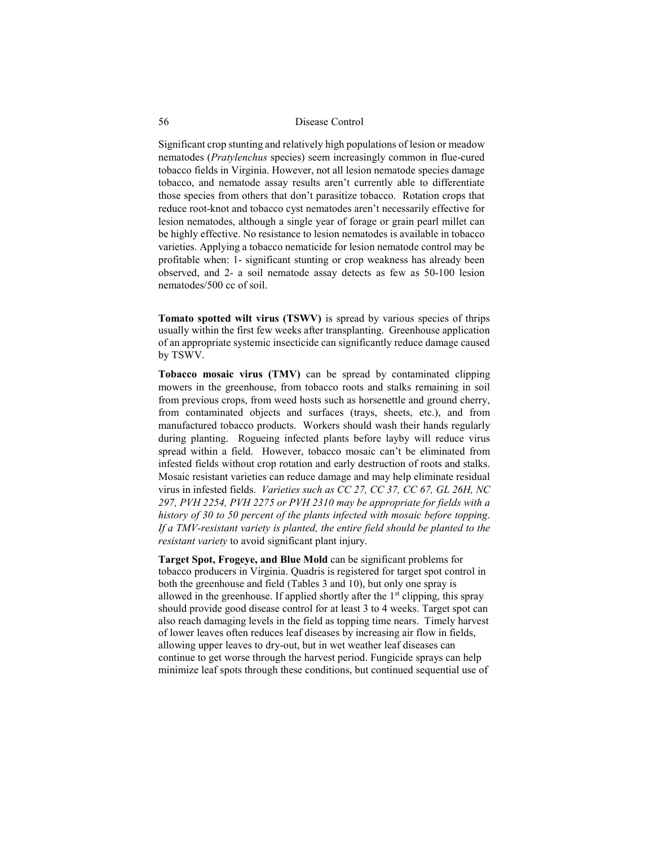Significant crop stunting and relatively high populations of lesion or meadow nematodes (*Pratylenchus* species) seem increasingly common in flue-cured tobacco fields in Virginia. However, not all lesion nematode species damage tobacco, and nematode assay results aren't currently able to differentiate those species from others that don't parasitize tobacco. Rotation crops that reduce root-knot and tobacco cyst nematodes aren't necessarily effective for lesion nematodes, although a single year of forage or grain pearl millet can be highly effective. No resistance to lesion nematodes is available in tobacco varieties. Applying a tobacco nematicide for lesion nematode control may be profitable when: 1- significant stunting or crop weakness has already been observed, and 2- a soil nematode assay detects as few as 50-100 lesion nematodes/500 cc of soil.

**Tomato spotted wilt virus (TSWV)** is spread by various species of thrips usually within the first few weeks after transplanting. Greenhouse application of an appropriate systemic insecticide can significantly reduce damage caused by TSWV.

**Tobacco mosaic virus (TMV)** can be spread by contaminated clipping mowers in the greenhouse, from tobacco roots and stalks remaining in soil from previous crops, from weed hosts such as horsenettle and ground cherry, from contaminated objects and surfaces (trays, sheets, etc.), and from manufactured tobacco products. Workers should wash their hands regularly during planting. Rogueing infected plants before layby will reduce virus spread within a field. However, tobacco mosaic can't be eliminated from infested fields without crop rotation and early destruction of roots and stalks. Mosaic resistant varieties can reduce damage and may help eliminate residual virus in infested fields. *Varieties such as CC 27, CC 37, CC 67, GL 26H, NC 297, PVH 2254, PVH 2275 or PVH 2310 may be appropriate for fields with a history of 30 to 50 percent of the plants infected with mosaic before topping*. *If a TMV-resistant variety is planted, the entire field should be planted to the resistant variety* to avoid significant plant injury.

**Target Spot, Frogeye, and Blue Mold** can be significant problems for tobacco producers in Virginia. Quadris is registered for target spot control in both the greenhouse and field (Tables 3 and 10), but only one spray is allowed in the greenhouse. If applied shortly after the  $1<sup>st</sup>$  clipping, this spray should provide good disease control for at least 3 to 4 weeks. Target spot can also reach damaging levels in the field as topping time nears. Timely harvest of lower leaves often reduces leaf diseases by increasing air flow in fields, allowing upper leaves to dry-out, but in wet weather leaf diseases can continue to get worse through the harvest period. Fungicide sprays can help minimize leaf spots through these conditions, but continued sequential use of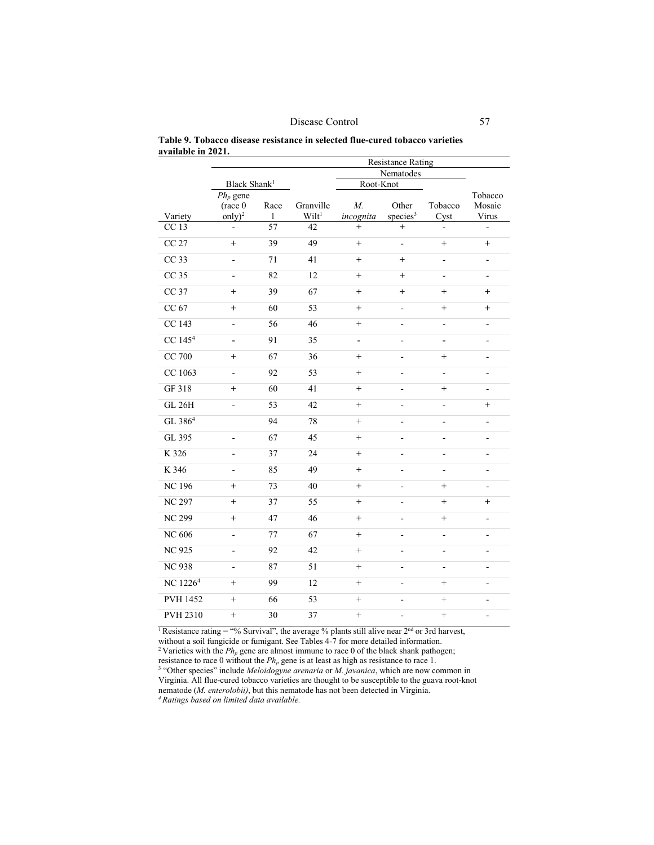|                    |  |  | Table 9. Tobacco disease resistance in selected flue-cured tobacco varieties |  |
|--------------------|--|--|------------------------------------------------------------------------------|--|
| available in 2021. |  |  |                                                                              |  |

|                      |                          |      |                   |                 | <b>Resistance Rating</b> |                          |                          |
|----------------------|--------------------------|------|-------------------|-----------------|--------------------------|--------------------------|--------------------------|
|                      |                          |      |                   |                 | Nematodes                |                          |                          |
|                      | Black Shank <sup>1</sup> |      |                   | Root-Knot       |                          |                          |                          |
|                      | $Ph_p$ gene              |      |                   |                 |                          |                          | Tobacco                  |
|                      | $(\text{race } 0)$       | Race | Granville         | $M_{\cdot}$     | Other                    | Tobacco                  | Mosaic                   |
| Variety              | $\text{only})^2$         | 1    | Wilt <sup>1</sup> | incognita       | species <sup>3</sup>     | Cyst                     | Virus                    |
| CC 13                |                          | 57   | 42                | $\ddot{}$       | $^{+}$                   | $\overline{a}$           | $\overline{a}$           |
| <b>CC 27</b>         | $^{+}$                   | 39   | 49                | $^{+}$          | $\overline{a}$           | $\qquad \qquad +$        | $^{+}$                   |
| CC 33                | ÷,                       | 71   | 41                | $\ddot{}$       | $^{+}$                   | $\overline{a}$           | $\blacksquare$           |
| CC <sub>35</sub>     |                          | 82   | 12                | $^{+}$          | $^{+}$                   | $\overline{a}$           | ٠                        |
| CC 37                | $^{+}$                   | 39   | 67                | $^{+}$          | $^{+}$                   | $^{+}$                   | $^{+}$                   |
| CC 67                | $^{+}$                   | 60   | 53                | $^{+}$          | $\blacksquare$           | $^{+}$                   | $^{+}$                   |
| CC 143               | ÷,                       | 56   | 46                | $^{+}$          | ÷,                       | $\overline{a}$           | $\overline{a}$           |
| CC 145 <sup>4</sup>  | $\blacksquare$           | 91   | 35                | $\overline{a}$  | $\overline{a}$           | $\overline{\phantom{0}}$ | $\overline{a}$           |
| <b>CC 700</b>        | $^{+}$                   | 67   | 36                | $^{+}$          | $\overline{a}$           | $^{+}$                   | ٠                        |
| CC 1063              | ÷,                       | 92   | 53                | $\! + \!\!\!\!$ | ÷,                       | $\overline{a}$           | $\frac{1}{2}$            |
| GF 318               | $^{+}$                   | 60   | 41                | $^{+}$          | ÷,                       | $^{+}$                   | $\overline{a}$           |
| <b>GL 26H</b>        | ÷,                       | 53   | 42                | $^{+}$          | ÷,                       | $\overline{\phantom{a}}$ |                          |
| GL 386 <sup>4</sup>  |                          | 94   | 78                | $^{+}$          | ÷,                       | $\overline{a}$           | ٠                        |
| GL 395               |                          | 67   | 45                | $^{+}$          | ÷,                       | ÷,                       | $\overline{a}$           |
| K 326                | ÷,                       | 37   | 24                | $^{+}$          | ÷,                       | $\overline{a}$           | ä,                       |
| K 346                | ÷,                       | 85   | 49                | $+$             | $\overline{a}$           | $\overline{a}$           | $\overline{\phantom{a}}$ |
| <b>NC 196</b>        | $\ddot{}$                | 73   | 40                | $^{+}$          | ÷,                       | $^{+}$                   | ÷,                       |
| <b>NC 297</b>        | $^{+}$                   | 37   | 55                | $^{+}$          | $\overline{a}$           | $^{+}$                   | $^{+}$                   |
| <b>NC 299</b>        | $^{+}$                   | 47   | 46                | $^{+}$          | ÷,                       | $\qquad \qquad +$        | $\blacksquare$           |
| <b>NC 606</b>        | ÷,                       | 77   | 67                | $^{+}$          | ÷,                       | $\overline{a}$           | $\frac{1}{2}$            |
| <b>NC 925</b>        | ÷,                       | 92   | 42                | $^{+}$          | ÷,                       | $\overline{a}$           | $\overline{a}$           |
| <b>NC 938</b>        | ÷,                       | 87   | 51                | $^{+}$          | $\overline{a}$           | $\overline{a}$           | $\overline{\phantom{a}}$ |
| NC 1226 <sup>4</sup> | $^{+}$                   | 99   | 12                | $^{+}$          | ÷                        | $^{+}$                   | $\overline{a}$           |
| PVH 1452             | $^{+}$                   | 66   | 53                | $^{+}$          | ÷,                       | $^{+}$                   | ٠                        |
| PVH 2310             | $^{+}$                   | 30   | 37                | $^{+}$          | $\overline{a}$           | $^{+}$                   | $\overline{\phantom{a}}$ |

<sup>1</sup> Resistance rating = "% Survival", the average % plants still alive near  $2<sup>nd</sup>$  or 3rd harvest, without a soil fungicide or fumigant. See Tables 4-7 for more detailed information. <sup>2</sup> Varieties with the  $Ph_p$  gene are almost immune to race 0 of the black shank pathogen;

resistance to race 0 without the  $Ph_p$  gene is at least as high as resistance to race 1. <sup>3</sup> "Other species" include *Meloidogyne arenaria* or *M. javanica*, which are now common in Virginia. All flue-cured tobacco varieties are thought to be susceptible to the guava root-knot nematode (*M. enterolobii)*, but this nematode has not been detected in Virginia.

*4 Ratings based on limited data available.*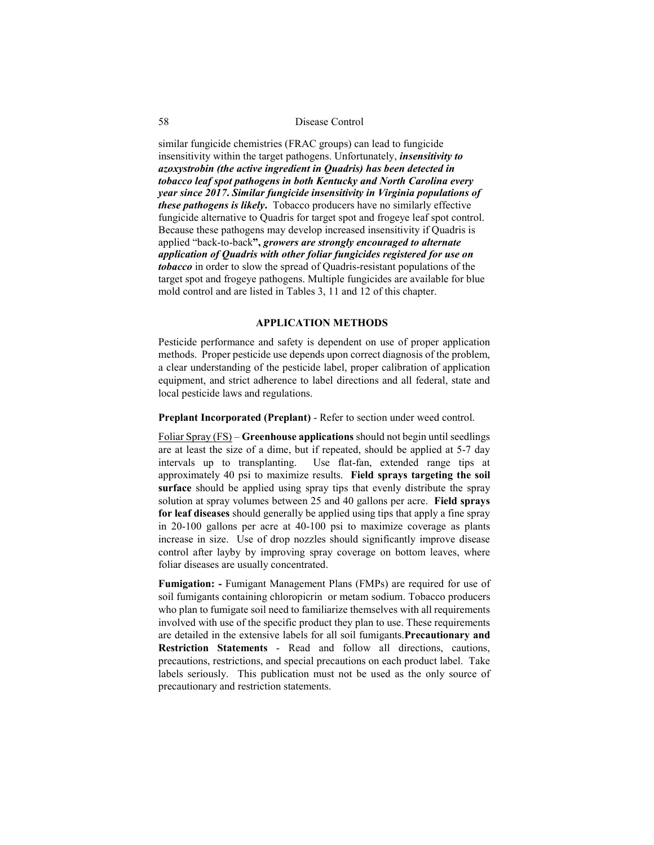similar fungicide chemistries (FRAC groups) can lead to fungicide insensitivity within the target pathogens. Unfortunately, *insensitivity to azoxystrobin (the active ingredient in Quadris) has been detected in tobacco leaf spot pathogens in both Kentucky and North Carolina every year since 2017***.** *Similar fungicide insensitivity in Virginia populations of these pathogens is likely***.** Tobacco producers have no similarly effective fungicide alternative to Quadris for target spot and frogeye leaf spot control. Because these pathogens may develop increased insensitivity if Quadris is applied "back-to-back**",** *growers are strongly encouraged to alternate application of Quadris with other foliar fungicides registered for use on tobacco* in order to slow the spread of Quadris-resistant populations of the target spot and frogeye pathogens. Multiple fungicides are available for blue mold control and are listed in Tables 3, 11 and 12 of this chapter.

## **APPLICATION METHODS**

Pesticide performance and safety is dependent on use of proper application methods. Proper pesticide use depends upon correct diagnosis of the problem, a clear understanding of the pesticide label, proper calibration of application equipment, and strict adherence to label directions and all federal, state and local pesticide laws and regulations.

**Preplant Incorporated (Preplant)** - Refer to section under weed control.

Foliar Spray (FS) – **Greenhouse applications** should not begin until seedlings are at least the size of a dime, but if repeated, should be applied at 5-7 day intervals up to transplanting. Use flat-fan, extended range tips at approximately 40 psi to maximize results. **Field sprays targeting the soil surface** should be applied using spray tips that evenly distribute the spray solution at spray volumes between 25 and 40 gallons per acre. **Field sprays for leaf diseases** should generally be applied using tips that apply a fine spray in 20-100 gallons per acre at 40-100 psi to maximize coverage as plants increase in size. Use of drop nozzles should significantly improve disease control after layby by improving spray coverage on bottom leaves, where foliar diseases are usually concentrated.

**Fumigation: -** Fumigant Management Plans (FMPs) are required for use of soil fumigants containing chloropicrin or metam sodium. Tobacco producers who plan to fumigate soil need to familiarize themselves with all requirements involved with use of the specific product they plan to use. These requirements are detailed in the extensive labels for all soil fumigants.**Precautionary and Restriction Statements** - Read and follow all directions, cautions, precautions, restrictions, and special precautions on each product label. Take labels seriously. This publication must not be used as the only source of precautionary and restriction statements.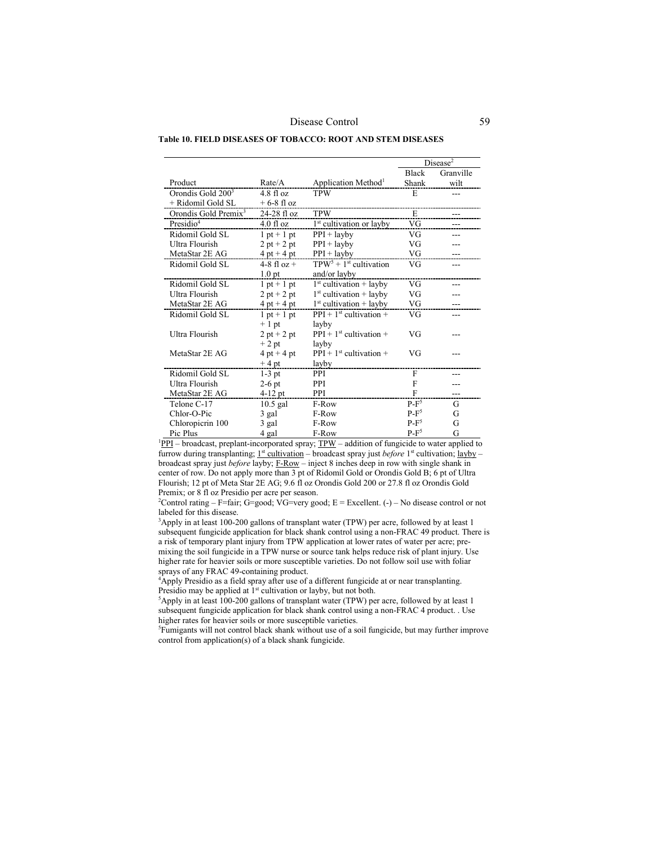**Table 10. FIELD DISEASES OF TOBACCO: ROOT AND STEM DISEASES**

|                                  |                     |                                      | Disease <sup>2</sup> |           |
|----------------------------------|---------------------|--------------------------------------|----------------------|-----------|
|                                  |                     |                                      | <b>Black</b>         | Granville |
| Product                          | Rate/A              | Application Method <sup>1</sup>      | Shank                | wilt      |
| Orondis Gold 200 <sup>3</sup>    | $4.8 \text{ fl oz}$ | <b>TPW</b>                           | E                    |           |
| + Ridomil Gold SL                | $+6-8$ fl oz        |                                      |                      |           |
| Orondis Gold Premix <sup>3</sup> | 24-28 fl oz         | <b>TPW</b>                           | E                    |           |
| Presidio <sup>4</sup>            | $4.0$ fl oz         | 1 <sup>st</sup> cultivation or layby | VG                   |           |
| Ridomil Gold SL                  | $1$ pt + 1 pt       | $PPI + \text{layby}$                 | VG                   |           |
| Ultra Flourish                   | $2 pt + 2 pt$       | $PPI + \text{layby}$                 | VG                   |           |
| MetaStar 2E AG                   | $4$ pt + 4 pt       | $PPI + \text{layby}$                 | VG                   |           |
| Ridomil Gold SL                  | $4-8$ fl oz +       | $TPW5 + 1st$ cultivation             | VG                   | ---       |
|                                  | 1.0 <sub>pt</sub>   | and/or layby                         |                      |           |
| Ridomil Gold SL                  | $1$ pt + $1$ pt     | $1st$ cultivation + layby            | VG                   |           |
| Ultra Flourish                   | $2 pt + 2 pt$       | $1st$ cultivation + layby            | VG                   |           |
| MetaStar 2E AG                   | $4$ pt + 4 pt       | $1st$ cultivation + layby            | VG                   |           |
| Ridomil Gold SL                  | $1$ pt + 1 pt       | $PPI + 1st$ cultivation +            | VG                   |           |
|                                  | $+1$ pt             | layby                                |                      |           |
| Ultra Flourish                   | $2 pt + 2 pt$       | $PPI + 1st$ cultivation +            | VG                   |           |
|                                  | $+2$ pt             | layby                                |                      |           |
| MetaStar 2E AG                   | $4$ pt + 4 pt       | $PPI + 1st$ cultivation +            | VG                   |           |
|                                  | $+4$ pt             | layby                                |                      |           |
| Ridomil Gold SL                  | $1-3$ pt            | <b>PPI</b>                           | F                    |           |
| <b>Ultra Flourish</b>            | $2-6$ pt            | <b>PPI</b>                           | F                    |           |
| MetaStar 2E AG                   | $4-12$ pt           | <b>PPI</b>                           | F                    |           |
| Telone C-17                      | $10.5$ gal          | F-Row                                | $P-F^5$              | G         |
| Chlor-O-Pic                      | 3 gal               | F-Row                                | $P-F^5$              | G         |
| Chloropicrin 100                 | 3 gal               | F-Row                                | $P-F^5$              | G         |
| Pic Plus                         | 4 gal               | F-Row                                | $P-F^5$              | G         |

 $1PPI$  – broadcast, preplant-incorporated spray;  $TPW$  – addition of fungicide to water applied to</u> furrow during transplanting;  $1^{st}$  cultivation – broadcast spray just *before* 1<sup>st</sup> cultivation; layby – broadcast spray just *before* layby; F-Row – inject 8 inches deep in row with single shank in center of row. Do not apply more than 3 pt of Ridomil Gold or Orondis Gold B; 6 pt of Ultra Flourish; 12 pt of Meta Star 2E AG; 9.6 fl oz Orondis Gold 200 or 27.8 fl oz Orondis Gold Premix; or 8 fl oz Presidio per acre per season.

<sup>2</sup> Control rating – F=fair; G=good; VG=very good; E = Excellent.  $(-)$  – No disease control or not labeled for this disease.

<sup>3</sup>Apply in at least 100-200 gallons of transplant water (TPW) per acre, followed by at least 1 subsequent fungicide application for black shank control using a non-FRAC 49 product. There is a risk of temporary plant injury from TPW application at lower rates of water per acre; premixing the soil fungicide in a TPW nurse or source tank helps reduce risk of plant injury. Use higher rate for heavier soils or more susceptible varieties. Do not follow soil use with foliar sprays of any FRAC 49-containing product.

sprays of any FRAC 49-containing product. 4 Apply Presidio as a field spray after use of a different fungicide at or near transplanting. Presidio may be applied at 1<sup>st</sup> cultivation or layby, but not both.

<sup>5</sup>Apply in at least 100-200 gallons of transplant water (TPW) per acre, followed by at least 1 subsequent fungicide application for black shank control using a non-FRAC 4 product. . Use higher rates for heavier soils or more susceptible varieties.

Fumigants will not control black shank without use of a soil fungicide, but may further improve control from application(s) of a black shank fungicide.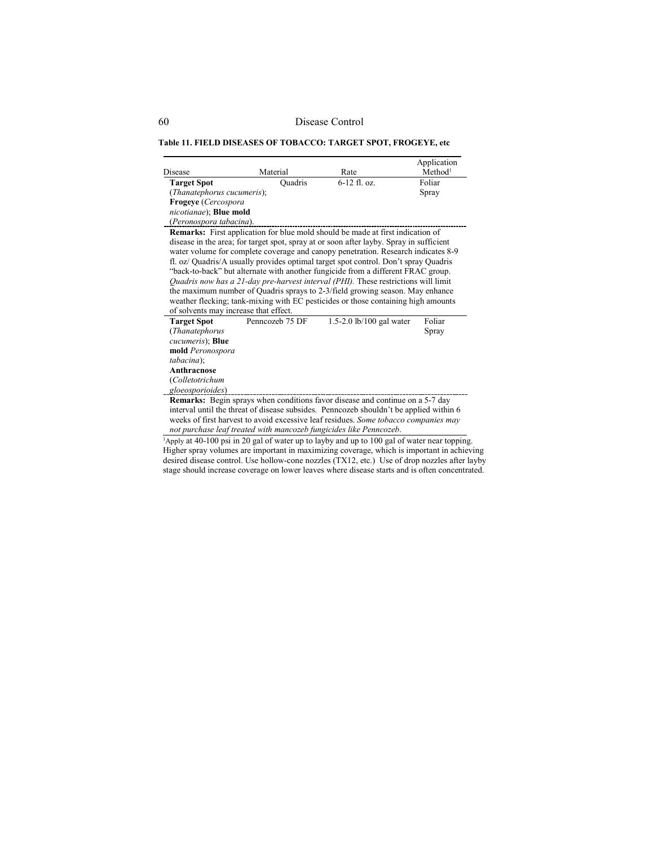## **Table 11. FIELD DISEASES OF TOBACCO: TARGET SPOT, FROGEYE, etc**

| Disease                               | Material        | Rate                                                                                                                                                                                                                                                                                                                                                                                                                                                                                                                                                                                                                                                                                                  | Application<br>Method <sup>1</sup> |
|---------------------------------------|-----------------|-------------------------------------------------------------------------------------------------------------------------------------------------------------------------------------------------------------------------------------------------------------------------------------------------------------------------------------------------------------------------------------------------------------------------------------------------------------------------------------------------------------------------------------------------------------------------------------------------------------------------------------------------------------------------------------------------------|------------------------------------|
| <b>Target Spot</b>                    | Quadris         | $6-12$ fl. oz.                                                                                                                                                                                                                                                                                                                                                                                                                                                                                                                                                                                                                                                                                        | Foliar                             |
| (Thanatephorus cucumeris);            |                 |                                                                                                                                                                                                                                                                                                                                                                                                                                                                                                                                                                                                                                                                                                       | Spray                              |
| Frogeye (Cercospora                   |                 |                                                                                                                                                                                                                                                                                                                                                                                                                                                                                                                                                                                                                                                                                                       |                                    |
| nicotianae); Blue mold                |                 |                                                                                                                                                                                                                                                                                                                                                                                                                                                                                                                                                                                                                                                                                                       |                                    |
| (Peronospora tabacina).               |                 |                                                                                                                                                                                                                                                                                                                                                                                                                                                                                                                                                                                                                                                                                                       |                                    |
|                                       |                 | Remarks: First application for blue mold should be made at first indication of<br>disease in the area; for target spot, spray at or soon after layby. Spray in sufficient<br>water volume for complete coverage and canopy penetration. Research indicates 8-9<br>fl. oz/ Quadris/A usually provides optimal target spot control. Don't spray Quadris<br>"back-to-back" but alternate with another fungicide from a different FRAC group.<br>Quadris now has a 21-day pre-harvest interval (PHI). These restrictions will limit<br>the maximum number of Quadris sprays to 2-3/field growing season. May enhance<br>weather flecking; tank-mixing with EC pesticides or those containing high amounts |                                    |
| of solvents may increase that effect. |                 |                                                                                                                                                                                                                                                                                                                                                                                                                                                                                                                                                                                                                                                                                                       |                                    |
| <b>Target Spot</b>                    | Penncozeb 75 DF | 1.5-2.0 lb/100 gal water                                                                                                                                                                                                                                                                                                                                                                                                                                                                                                                                                                                                                                                                              | Foliar                             |
| (Thanatephorus                        |                 |                                                                                                                                                                                                                                                                                                                                                                                                                                                                                                                                                                                                                                                                                                       | Spray                              |
| cucumeris); Blue                      |                 |                                                                                                                                                                                                                                                                                                                                                                                                                                                                                                                                                                                                                                                                                                       |                                    |
| mold Peronospora                      |                 |                                                                                                                                                                                                                                                                                                                                                                                                                                                                                                                                                                                                                                                                                                       |                                    |
| tabacina);<br>Anthracnose             |                 |                                                                                                                                                                                                                                                                                                                                                                                                                                                                                                                                                                                                                                                                                                       |                                    |
| (Colletotrichum                       |                 |                                                                                                                                                                                                                                                                                                                                                                                                                                                                                                                                                                                                                                                                                                       |                                    |
| gloeosporioides)                      |                 |                                                                                                                                                                                                                                                                                                                                                                                                                                                                                                                                                                                                                                                                                                       |                                    |
|                                       |                 | <b>Remarks:</b> Begin sprays when conditions favor disease and continue on a 5-7 day                                                                                                                                                                                                                                                                                                                                                                                                                                                                                                                                                                                                                  |                                    |
|                                       |                 | interval until the threat of disease subsides. Penncozeb shouldn't be applied within 6<br>weeks of first harvest to avoid excessive leaf residues. Some tobacco companies may<br>not purchase leaf treated with mancozeb fungicides like Penncozeb.                                                                                                                                                                                                                                                                                                                                                                                                                                                   |                                    |
|                                       |                 | $\mu$ Apply at 40-100 psi in 20 gal of water up to layby and up to 100 gal of water near topping.                                                                                                                                                                                                                                                                                                                                                                                                                                                                                                                                                                                                     |                                    |

Higher spray volumes are important in maximizing coverage, which is important in achieving desired disease control. Use hollow-cone nozzles (TX12, etc.) Use of drop nozzles after layby stage should increase coverage on lower leaves where disease starts and is often concentrated.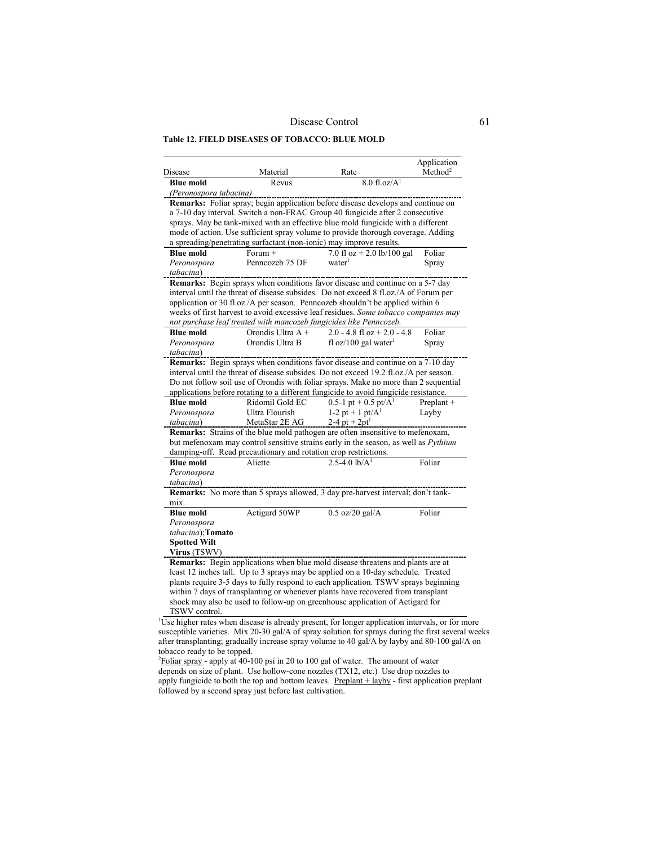**Table 12. FIELD DISEASES OF TOBACCO: BLUE MOLD** 

| Disease                                                                                     | Material                                                            | Rate                                                                                                                                                                                                                                                                                                                                                                                                                            | Application<br>Method <sup>2</sup> |
|---------------------------------------------------------------------------------------------|---------------------------------------------------------------------|---------------------------------------------------------------------------------------------------------------------------------------------------------------------------------------------------------------------------------------------------------------------------------------------------------------------------------------------------------------------------------------------------------------------------------|------------------------------------|
| <b>Blue mold</b>                                                                            | $8.0$ fl.oz/ $A1$<br>Revus                                          |                                                                                                                                                                                                                                                                                                                                                                                                                                 |                                    |
| (Peronospora tabacina)                                                                      |                                                                     |                                                                                                                                                                                                                                                                                                                                                                                                                                 |                                    |
|                                                                                             | a spreading/penetrating surfactant (non-ionic) may improve results. | Remarks: Foliar spray; begin application before disease develops and continue on<br>a 7-10 day interval. Switch a non-FRAC Group 40 fungicide after 2 consecutive<br>sprays. May be tank-mixed with an effective blue mold fungicide with a different<br>mode of action. Use sufficient spray volume to provide thorough coverage. Adding                                                                                       |                                    |
| <b>Blue mold</b>                                                                            | Forum $+$                                                           | 7.0 fl oz + 2.0 lb/100 gal                                                                                                                                                                                                                                                                                                                                                                                                      | Foliar                             |
| Peronospora<br>tabacina)                                                                    | Penncozeb 75 DF                                                     | water                                                                                                                                                                                                                                                                                                                                                                                                                           | Spray                              |
|                                                                                             | not purchase leaf treated with mancozeb fungicides like Penncozeb.  | Remarks: Begin sprays when conditions favor disease and continue on a 5-7 day<br>interval until the threat of disease subsides. Do not exceed 8 fl.oz./A of Forum per<br>application or 30 fl.oz./A per season. Penncozeb shouldn't be applied within 6<br>weeks of first harvest to avoid excessive leaf residues. Some tobacco companies may                                                                                  |                                    |
| <b>Blue mold</b>                                                                            | Orondis Ultra A +                                                   | 2.0 - 4.8 fl oz + 2.0 - 4.8                                                                                                                                                                                                                                                                                                                                                                                                     | Foliar                             |
| Peronospora<br>tabacina)                                                                    | Orondis Ultra B                                                     | fl oz/100 gal water <sup>1</sup>                                                                                                                                                                                                                                                                                                                                                                                                | Spray                              |
| <b>Blue mold</b><br>Peronospora<br>tabacina)                                                | Ridomil Gold EC<br>Ultra Flourish<br>MetaStar 2E AG                 | interval until the threat of disease subsides. Do not exceed 19.2 fl.oz./A per season.<br>Do not follow soil use of Orondis with foliar sprays. Make no more than 2 sequential<br>applications before rotating to a different fungicide to avoid fungicide resistance.<br>$0.5-1$ pt + 0.5 pt/A <sup>1</sup><br>1-2 pt + 1 pt/ $A^1$<br>2-4 pt + $2pt1$                                                                         | Preplant +<br>Layby                |
|                                                                                             | damping-off. Read precautionary and rotation crop restrictions.     | Remarks: Strains of the blue mold pathogen are often insensitive to mefenoxam,<br>but mefenoxam may control sensitive strains early in the season, as well as Pythium                                                                                                                                                                                                                                                           |                                    |
| <b>Blue mold</b><br>Peronospora<br>tabacina)                                                | Aliette                                                             | $2.5 - 4.0$ lb/A <sup>1</sup>                                                                                                                                                                                                                                                                                                                                                                                                   | Foliar                             |
| mix.                                                                                        |                                                                     | <b>Remarks:</b> No more than 5 sprays allowed, 3 day pre-harvest interval; don't tank-                                                                                                                                                                                                                                                                                                                                          |                                    |
| <b>Blue mold</b><br>Peronospora<br>tabacina); Tomato<br><b>Spotted Wilt</b><br>Virus (TSWV) | Actigard 50WP                                                       | $0.5$ oz/20 gal/A                                                                                                                                                                                                                                                                                                                                                                                                               | Foliar                             |
| TSWV control.                                                                               |                                                                     | Remarks: Begin applications when blue mold disease threatens and plants are at<br>least 12 inches tall. Up to 3 sprays may be applied on a 10-day schedule. Treated<br>plants require 3-5 days to fully respond to each application. TSWV sprays beginning<br>within 7 days of transplanting or whenever plants have recovered from transplant<br>shock may also be used to follow-up on greenhouse application of Actigard for |                                    |

susceptible varieties. Mix 20-30 gal/A of spray solution for sprays during the first several weeks after transplanting; gradually increase spray volume to 40 gal/A by layby and 80-100 gal/A on

tobacco ready to be topped.<br><sup>2</sup> <u>Foliar spray</u> - apply at 40-100 psi in 20 to 100 gal of water. The amount of water depends on size of plant. Use hollow-cone nozzles (TX12, etc.) Use drop nozzles to apply fungicide to both the top and bottom leaves.  $Preplant + layby - first application preplant$ followed by a second spray just before last cultivation.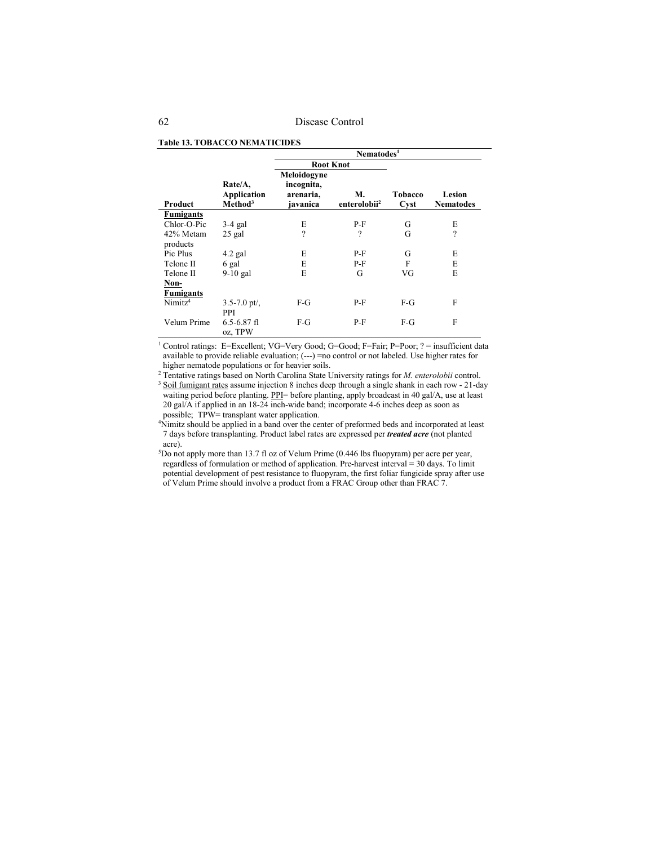|                     |                                               | Nematodes <sup>1</sup>                             |                                |                 |                            |
|---------------------|-----------------------------------------------|----------------------------------------------------|--------------------------------|-----------------|----------------------------|
|                     |                                               | <b>Root Knot</b>                                   |                                |                 |                            |
| Product             | Rate/A,<br>Application<br>Method <sup>3</sup> | Meloidogyne<br>incognita,<br>arenaria,<br>javanica | М.<br>enterolobii <sup>2</sup> | Tobacco<br>Cyst | Lesion<br><b>Nematodes</b> |
| <b>Fumigants</b>    |                                               |                                                    |                                |                 |                            |
| Chlor-O-Pic         | $3-4$ gal                                     | E                                                  | $P-F$                          | G               | E                          |
| 42% Metam           | $25$ gal                                      | $\overline{\cdot}$                                 | $\overline{\phantom{a}}$       | G               | $\overline{\phantom{a}}$   |
| products            |                                               |                                                    |                                |                 |                            |
| Pic Plus            | $4.2$ gal                                     | E                                                  | $P-F$                          | G               | E                          |
| Telone II           | 6 gal                                         | E                                                  | $P-F$                          | F               | E                          |
| Telone II           | $9-10$ gal                                    | E                                                  | G                              | VG              | E                          |
| Non-                |                                               |                                                    |                                |                 |                            |
| <b>Fumigants</b>    |                                               |                                                    |                                |                 |                            |
| Nimitz <sup>4</sup> | $3.5 - 7.0$ pt/,<br>PPI                       | $F-G$                                              | P-F                            | $F-G$           | F                          |
| Velum Prime         | $6.5 - 6.87$ fl<br>oz, TPW                    | $F-G$                                              | $P-F$                          | $F-G$           | F                          |

# **Table 13. TOBACCO NEMATICIDES**

<sup>1</sup> Control ratings: E=Excellent; VG=Very Good; G=Good; F=Fair; P=Poor; ? = insufficient data available to provide reliable evaluation; (---) =no control or not labeled. Use higher rates for higher nematode populations or for heavier soils.

<sup>2</sup> Tentative ratings based on North Carolina State University ratings for *M. enterolobii* control. <sup>3</sup> Soil fumigant rates assume injection 8 inches deep through a single shank in each row - 21-day waiting period before planting. PPI= before planting, apply broadcast in 40 gal/A, use at least 20 gal/A if applied in an 18-24 inch-wide band; incorporate 4-6 inches deep as soon as possible; TPW= transplant water application.

4 Nimitz should be applied in a band over the center of preformed beds and incorporated at least 7 days before transplanting. Product label rates are expressed per *treated acre* (not planted acre).

5 Do not apply more than 13.7 fl oz of Velum Prime (0.446 lbs fluopyram) per acre per year, regardless of formulation or method of application. Pre-harvest interval = 30 days. To limit potential development of pest resistance to fluopyram, the first foliar fungicide spray after use of Velum Prime should involve a product from a FRAC Group other than FRAC 7.